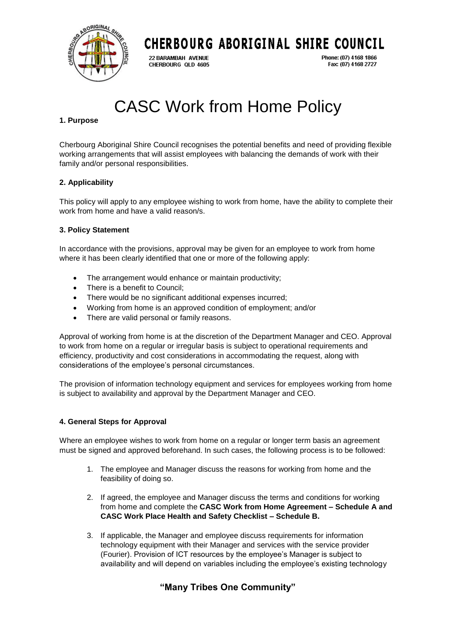

## CHERBOURG ABORIGINAL SHIRE COUNCIL

22 BARAMBAH AVENUE CHERBOURG QLD 4605 Phone: (07) 4168 1866 Fax: (07) 4168 2727

# CASC Work from Home Policy

#### **1. Purpose**

Cherbourg Aboriginal Shire Council recognises the potential benefits and need of providing flexible working arrangements that will assist employees with balancing the demands of work with their family and/or personal responsibilities.

#### **2. Applicability**

This policy will apply to any employee wishing to work from home, have the ability to complete their work from home and have a valid reason/s.

#### **3. Policy Statement**

In accordance with the provisions, approval may be given for an employee to work from home where it has been clearly identified that one or more of the following apply:

- The arrangement would enhance or maintain productivity;
- There is a benefit to Council;
- There would be no significant additional expenses incurred;
- Working from home is an approved condition of employment; and/or
- There are valid personal or family reasons.

Approval of working from home is at the discretion of the Department Manager and CEO. Approval to work from home on a regular or irregular basis is subject to operational requirements and efficiency, productivity and cost considerations in accommodating the request, along with considerations of the employee's personal circumstances.

The provision of information technology equipment and services for employees working from home is subject to availability and approval by the Department Manager and CEO.

#### **4. General Steps for Approval**

Where an employee wishes to work from home on a regular or longer term basis an agreement must be signed and approved beforehand. In such cases, the following process is to be followed:

- 1. The employee and Manager discuss the reasons for working from home and the feasibility of doing so.
- 2. If agreed, the employee and Manager discuss the terms and conditions for working from home and complete the **CASC Work from Home Agreement – Schedule A and CASC Work Place Health and Safety Checklist – Schedule B.**
- 3. If applicable, the Manager and employee discuss requirements for information technology equipment with their Manager and services with the service provider (Fourier). Provision of ICT resources by the employee's Manager is subject to availability and will depend on variables including the employee's existing technology

### **"Many Tribes One Community"**